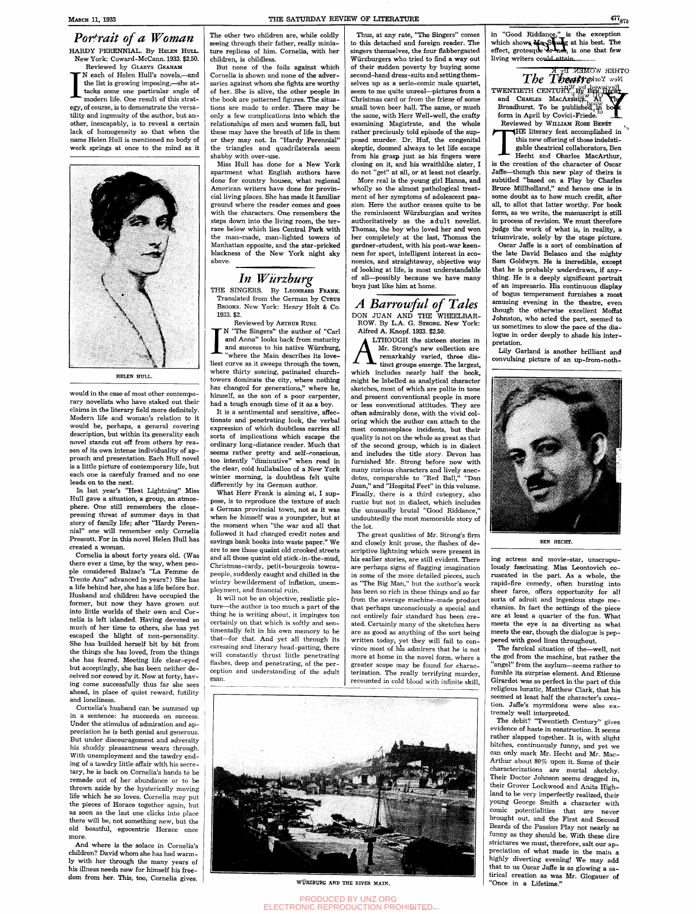### in "Good Riddance," is the exception which shows MayStrong at his best. The

*Portrait of a Woman*  HARDY PERENNIAL. By HELEN HULL. New York: Coward-McCann. 1933. \$2.50.

Reviewed by GLADYS GRAHAM I N each of Helen Hull's novels,—and the list is growing imposing,—she attacks some one particular angle of modern life. One result of this strategy, of course, is to demonstrate the versatility and ingenuity of the author, but another, inescapably, is to reveal a certain lack of homogeneity so that when the name Helen Hull is mentioned no body of work springs at once to the mind as it



**HELEN HULL.** 

would in the case of most other contemporary novelists who have staked out their claims in the literary field more definitely. Modern life and woman's relation to it would be, perhaps, a general covering description, but within its generality each novel stands cut off from others by rea son of its own intense individuality of ap proach and presentation. Each Hull novel is a little picture of contemporary life, but each one is carefuly framed and no one leads on to the next.

Cornelia's husband can be summed up n a sentence: he

In last year's "Heat Lightning" Miss Hull gave a situation, a group, an atmosphere. One still remembers the closepressing threat of summer days in that story of family life; after "Hardy Peren nial" one will remember only Cornelia Prescott. For in this novel Helen Hull has created a woman.

Cornelia is about forty years old. (Was there ever a time, by the way, when people considered Balzac's "La Femme de Trente Ans" advanced in years?) She has a life behind her, she has a life before her. Husband and children have occupied the former, but now they have grown out into little worlds of their own and Cornelia is left islanded. Having devoted so much of her time to others, she has yet escaped the blight of non-personality. She has builded herself bit by bit from the things she has loved, from the things she has feared. Meeting life clear-eyed but acceptingly, she has been neither de ceived nor cowed by it. Now at forty, hav ing come successfully thus far she sees ahead, in place of quiet reward, futility and loneliness.

Under the stimulus of admiration and ap preciation he is both genial and generous. But under discouragemeat and adversity his shoddy pleasantness wears through. With unemployment and the tawdry ending of a tawdry little affair with his secretary, he is back on Cornelia's hands to be remade out of her abundance or to be thrown aside by the hysterically moving life which he so loves. Cornelia may put the pieces of Horace together again, but as soon as the last one clicks into place there will be, not something new, but the old boastful, egocentric Horace once more.

What Herr Frank is aiming at, I suppose, is to reproduce the texture of such a German provincial towm, not as it was when he himself was a youngster, but at the moment when "the war and all that followed it had changed credit notes and savings bank books into waste paper." We are to see those quaint old crooked streets and all those quaint old stick-in-the-mud, Christmas-cardy, petit-bourgeois townspeople, suddenly caught and chilled in the wintry bewilderment of inflation, unemployment, and financial ruin.

It will not be an objective, realistic picture—the author is too much a part of the thing he is writing about, it impinges too certainly on that which is softly and sentimentally felt in his own memory to be that—for that. And yet all through its caressing and literary head-patting, there will constantly thrust little penetrating flashes, deep and penetrating, of the perception and understanding of the adult man.

And where is the solace in Cornelia's children? David whom she has had warmly with her through the many years of his illness needs now for himself his freedom from her. This, too, Cornelia gives.



WÜRZBURG AND THE RIVER MAIN.

The other two children are, while coldly seeing through their father, really miniature replicas of him. Cornelia, with her children, is childless.

But none of the foils against which Cornelia is shown and none of the adversaries against whom she fights are worthy of her. She is alive, the other people in the book are patterned figures. The situa tions are made to order. There may be only a few complications into which the relationships of men and women fall, but these may have the breath of life in them or they may not. In "Hardy Perennial" the triangles and quadrilaterals seem shabby with over-use.

### *A Barrowful of Tales*  DON JUAN AND THE WHEELBAR-

Miss Hull has done for a New York apartment what English authors have done for country houses, what regional American writers have done for provincial living places. She has made it familiar ground where the reader comes and goes with the characters. One remembers the steps down into the living room, the terrace below which lies Central Park with the man-made, man-lighted towers of Manhattan opposite, and the star-pricked blackness of the New York night sky above.

# *In Wurzburg*

THE SINGERS. By LEONHARD FRANK. Translated from the German by CYRUS BROOKS. New York: Henry Holt & Co. 1933. \$2.

> LTHOUGH the sixteen stories in */ \* Mr. Strong's new collection are remarkably varied, three distinct groups emerge. The largest, which includes nearly half the book, might be labelled as analytical character sketches, most of which are polite in tone and present conventional people in more or less conventional attitudes. They are often admirably done, with the vivid coloring which the author can attach to the most commonplace incidents, but their quality is not on the whole as great as that of the second group, which is in dialect and includes the title story. Devon has furnished Mr. Strong before now with many curious characters and lively anec dotes, comparable to "Red Ball," "Don Juan," and "Hospital Feet" in this volume. Finally, there is a third category, also rustic but not in dialect, which includes the unusually brutal "Good Riddance," undoubtedly the most memorable story of the lot.

Reviewed by ARTHUR RUHL

I "The Singers" the author of "Carl and Anna" looks back from maturity and success to his native Wurzburg, where the Main describes its loveliest curve as it sweeps through the town, where thirty soaring, patinated churchtowers dominate the city, where nothing

has changed for generations," where he, himself, as the son of a poor carpenter, had a tough enough time of it as a boy.

THE literary feat accomplished in<br>this new offering of those indefati-<br>gable theatrical collaborators, Ben<br>Hecht and Charles MacArthur,<br>is the creation of the character of Oscar HE literary feat accomplished in this new offering of those indefatigable theatrical collaborators, Ben

It is a sentimental and sensitive, affectionate and penetrating look, the verbal expression of which doubtless carries all sorts of implications which escape the ordinary long-distance reader. Much that seems rather pretty and self-conscious, too intently "diminutive" when read in the clear, cold hullaballoo of a New York winter morning, is doubtless felt quite differently by its German author.

Hecht and Charles MacArthur, Jaffe—^though this new play of theirs is subtitled "based on a Play by Charles Bruce Millholland," and hence one is in some doubt as to how much credit, after all, to allot that latter worthy. For book form, as we write, the manuscript is still in process of revision. We must therefore judge the work of what is, in reality, a triumvirate, solely by the stage picture.

Lily Garland is another brilliant and convulsing picture of an up-from-noth-



Thus, at any rate, "The Singers" comes to this detached and foreign reader. The singers themselves, the four flabbergasted Wiirzburgers who tried to find a way out of their sudden poverty by buying some second-hand dress-suits and setting themselves up as a serio-comic male quartet, seem to me quite unreal—pictures from a Christmas card or from the frieze of some small town beer hall. The same, or much the same, with Herr Well-well, the crafty examining Magistrate, and the whole rather preciously told episode of the sup posed murder. Dr. Huf, the congenital skeptic, doomed always to let life escape from his grasp just as his fingers were closing on it, and his wraithlike sister, I do not "get" at all, or at least not clearly.

More real is the young girl Hanna, and wholly so the almost pathological treatment of her symptoms of adolescent passion. Here the author ceases quite to be the reminiscent Wiirzburgian and writes authoritatively as the adult novelist. Thomas, the boy'who loved her and won her completely at the last, Thomas the gardner-student, with his post-war keenness for sport, intelligent interest in economics, and straightaway, objective way of looking at life, is most understandable of all—possibly because we have many boys just like him at home.

ROW. By L.A. G. STRONG. New York: Alfred A. Knopf. 1933. \$2.50.

The great qualities of Mr. Strong's firm and closely knit prose, the flashes of de scriptive lightning which were present in his earlier stories, are still evident. There are perhaps signs of flagging imagination in some of the more detailed pieces, such as "The Big Man," but the author's work has been so rich in these things and so far from the average machine-made product that perhaps unconsciously a special and not entirely fair standard has been created. Certainly many of the sketches here are as good as anything of the sort being written today, yet they will fail to convince most of his admirers that he is not more at home in the novel form, where a greater scope may be found for characterization. The really terrifying murder, recounted in cold blood with infinite skill.

effect, grotesque  $\delta r^*$ net, is one that few living writers could attain. OTHER WOMEN. By K  $T$ *hee Tangram The Theory*  $\frac{1}{N}$ *<sup>n</sup>* 

TWENTIETH CENTURY, BY BEN HECHT and CHARLES MACARTHUR.  $\text{At}$ Broadhurst. To be published  $\frac{1}{10}$  boats form in April by Covici-Friede. Reviewed by WILLIAM ROSE BENÉT

Oscar Jaffe is a sort of combination of the late David Belasco and the mighty Sam Goldwyn. He is incredible, except that he is probably underdrawn, if anything. He is a deeply significant portrait of an impresario. His continuous display of bogus temperament furnishes a most amusing evening in the theatre, even though the otherwise excellent Moffat Johnston, who acted the part, seemed to us sometimes to slow the pace of the dialogue in order deeply to shade his interpretation.

**BEN HECHT.** 

ing actress and movie-star, unscrupulously fascinating. Miss Leontovich coruscated in the part. As a whole, the rapid-fire comedy, often bursting into sheer farce, offers opportunity for all sorts of adroit and ingenious stage me chanics. In fact the settings of the piece are at least a quarter of the fun. What meets the eye is as diverting as what meets the ear, though the dialogue is pep pered with good lines throughout.

The farcical situation of the—well, not the god from the machine, but rather the "angel" from the asylum—seems rather to fumble its surprise element. And Etienne Girardot was so perfect in the part of this religious lunatic, Matthew Clark, that his seemed at least half the character's crea tion. Jaffe's myrmidons were also extremely well interpreted. The debit? "Twentieth Century" gives evidence of haste in construction. It seems rather slapped together. It is, with slight hitches, continuously funny, and yet we can only mark Mr. Hecht and Mr. Mac-Arthur about 80% upon it. Some of their characterizations are mortal sketchy. Their Doctor Johnson seems dragged in, their Grover Lockwood and Anita Highland to be very imperfectly realized, their young George Smith a character with comic potentialities that are never brought out, and the First and Second Beards of the Passion Play not nearly as funny as they should be. With these dire strictures we must, therefore, salt our appreciation of what made in the main a highly diverting evening! We may add that to us Oscar Jaffe is as glowing a satirical creation as was Mr. Glogauer of "Once in a Lifetime."

PRODUCED BY UNZ.ORG ELECTRONIC REPRODUCTION PROHIBITED